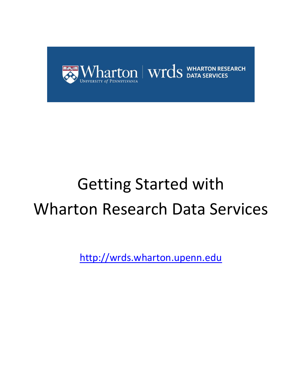

# Getting Started with Wharton Research Data Services

[http://wrds.wharton.upenn.edu](http://wrds.wharton.upenn.edu/)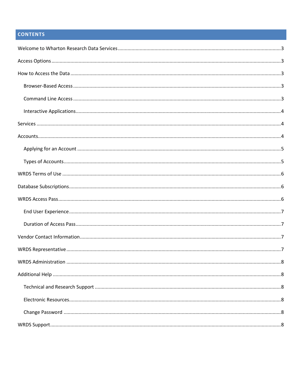# **CONTENTS**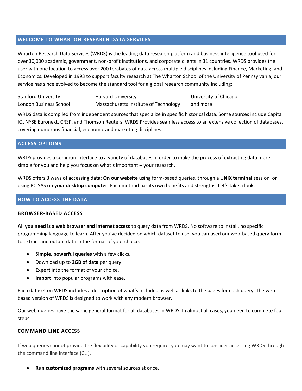#### <span id="page-2-0"></span>**WELCOME TO WHARTON RESEARCH DATA SERVICES**

Wharton Research Data Services (WRDS) is the leading data research platform and business intelligence tool used for over 30,000 academic, government, non-profit institutions, and corporate clients in 31 countries. WRDS provides the user with one location to access over 200 terabytes of data across multiple disciplines including Finance, Marketing, and Economics. Developed in 1993 to support faculty research at The Wharton School of the University of Pennsylvania, our service has since evolved to become the standard tool for a global research community including:

| <b>Stanford University</b> | Harvard University                    | University of Chicago |
|----------------------------|---------------------------------------|-----------------------|
| London Business School     | Massachusetts Institute of Technology | and more              |

WRDS data is compiled from independent sources that specialize in specific historical data. Some sources include Capital IQ, NYSE Euronext, CRSP, and Thomson Reuters. WRDS Provides seamless access to an extensive collection of databases, covering numerous financial, economic and marketing disciplines.

#### <span id="page-2-1"></span>**ACCESS OPTIONS**

WRDS provides a common interface to a variety of databases in order to make the process of extracting data more simple for you and help you focus on what's important – your research.

WRDS offers 3 ways of accessing data: **On our website** using form-based queries, through a **UNIX terminal** session, or using PC-SAS **on your desktop computer**. Each method has its own benefits and strengths. Let's take a look.

# <span id="page-2-2"></span>**HOW TO ACCESS THE DATA**

#### <span id="page-2-3"></span>**BROWSER-BASED ACCESS**

**All you need is a web browser and Internet access** to query data from WRDS. No software to install, no specific programming language to learn. After you've decided on which dataset to use, you can used our web-based query form to extract and output data in the format of your choice.

- **Simple, powerful queries** with a few clicks.
- Download up to **2GB of data** per query.
- **Export** into the format of your choice.
- **Import** into popular programs with ease.

Each dataset on WRDS includes a description of what's included as well as links to the pages for each query. The webbased version of WRDS is designed to work with any modern browser.

Our web queries have the same general format for all databases in WRDS. In almost all cases, you need to complete four steps.

#### <span id="page-2-4"></span>**COMMAND LINE ACCESS**

If web queries cannot provide the flexibility or capability you require, you may want to consider accessing WRDS through the command line interface (CLI).

• **Run customized programs** with several sources at once.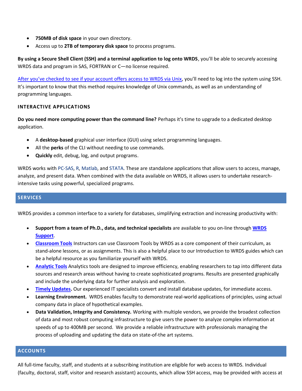- **750MB of disk space** in your own directory.
- Access up to **2TB of temporary disk space** to process programs.

**By using a Secure Shell Client (SSH) and a terminal application to log onto WRDS**, you'll be able to securely accessing WRDS data and program in SAS, FORTRAN or C—no license required.

[After you've checked to see if your account offers access to WRDS via Unix,](https://wrds-www.wharton.upenn.edu/pages/support/getting-started/wrds-account-types/) you'll need to log into the system using SSH. It's important to know that this method requires knowledge of Unix commands, as well as an understanding of programming languages.

#### <span id="page-3-0"></span>**INTERACTIVE APPLICATIONS**

**Do you need more computing power than the command line?** Perhaps it's time to upgrade to a dedicated desktop application.

- A **desktop-based** graphical user interface (GUI) using select programming languages.
- All the **perks** of the CLI without needing to use commands.
- **Quickly** edit, debug, log, and output programs.

WRDS works wit[h PC-SAS,](http://wrds-web.wharton.upenn.edu/wrds/support/Accessing%20and%20Manipulating%20the%20Data/_003PCSAS%20Connect/index.cfm) [R,](http://wrds-web.wharton.upenn.edu/wrds/support/Accessing%20and%20Manipulating%20the%20Data/_007R%20Programming/index.cfm) [Matlab,](https://wrds-www.wharton.upenn.edu/pages/support/programming-wrds/) and [STATA.](https://wrds-www.wharton.upenn.edu/pages/support/programming-wrds/) These are standalone applications that allow users to access, manage, analyze, and present data. When combined with the data available on WRDS, it allows users to undertake researchintensive tasks using powerful, specialized programs.

#### <span id="page-3-1"></span>**SERVICES**

WRDS provides a common interface to a variety for databases, simplifying extraction and increasing productivity with:

- **Support from a team of Ph.D., data, and technical specialists** are available to you on-line through **[WRDS](http://wrds-web.wharton.upenn.edu/wrds/support/internal_support_request.cfm)  [Support](http://wrds-web.wharton.upenn.edu/wrds/support/internal_support_request.cfm)**.
- **[Classroom Tools](https://wrds-www.wharton.upenn.edu/pages/classroom/)** Instructors can use Classroom Tools by WRDS as a core component of their curriculum, as stand-alone lessons, or as assignments. This is also a helpful place to our Introduction to WRDS guides which can be a helpful resource as you familiarize yourself with WRDS.
- **[Analytic Tools](https://wrds-www.wharton.upenn.edu/pages/analytics/)** Analytics tools are designed to improve efficiency, enabling researchers to tap into different data sources and research areas without having to create sophisticated programs. Results are presented graphically and include the underlying data for further analysis and exploration.
- **[Timely Updates.](https://wrds-web.wharton.upenn.edu/wrds/support/update_calendar.cfm)** Our experienced IT specialists convert and install database updates, for immediate access.
- **Learning Environment.** WRDS enables faculty to demonstrate real-world applications of principles, using actual company data in place of hypothetical examples.
- **Data Validation, Integrity and Consistency.** Working with multiple vendors, we provide the broadest collection of data and most robust computing infrastructure to give users the power to analyze complex information at speeds of up to 400MB per second. We provide a reliable infrastructure with professionals managing the process of uploading and updating the data on state-of-the art systems.

#### <span id="page-3-2"></span>**ACCOUNTS**

All full-time faculty, staff, and students at a subscribing institution are eligible for web access to WRDS. Individual (faculty, doctoral, staff, visitor and research assistant) accounts, which allow SSH access, may be provided with access at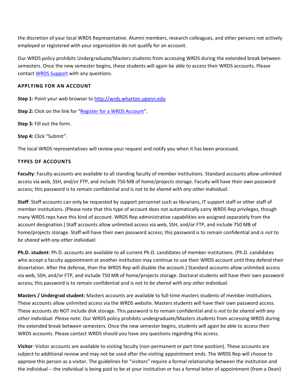the discretion of your local WRDS Representative. Alumni members, research colleagues, and other persons not actively employed or registered with your organization do not qualify for an account.

Our WRDS policy prohibits Undergraduate/Masters students from accessing WRDS during the extended break between semesters. Once the new semester begins, these students will again be able to access their WRDS accounts. Please contact [WRDS Support](mailto:wrds@wharton.upenn.edu) with any questions.

#### <span id="page-4-0"></span>**APPLYING FOR AN ACCOUNT**

**Step 1:** Point your web browser to [http://wrds.wharton.upenn.edu](http://wrds.wharton.upenn.edu/)

**Step 2:** Click on the link for "[Register for a WRDS Account](http://wrds-web.wharton.upenn.edu/wrds/?register=1)".

**Step 3:** Fill out the form.

**Step 4:** Click "Submit".

<span id="page-4-1"></span>The local WRDS representatives will review your request and notify you when it has been processed.

# **TYPES OF ACCOUNTS**

**Faculty**: Faculty accounts are available to all standing faculty of member institutions. Standard accounts allow unlimited access via web, SSH, and/or FTP, and include 750 MB of home/projects storage. Faculty will have their own password access; this password is to remain confidential and is *not to be shared with any other individual*.

**Staff**: Staff accounts can only be requested by support personnel such as librarians, IT support staff or other staff of member institutions. (Please note that this type of account does not automatically carry WRDS Rep privileges, though many WRDS reps have this kind of account. WRDS Rep administrative capabilities are assigned separately from the account designation.) Staff accounts allow unlimited access via web, SSH, and/or FTP, and include 750 MB of home/projects storage. Staff will have their own password access; this password is to remain confidential and is *not to be shared with any other individual*.

**Ph.D. student**: Ph.D. accounts are available to all current Ph.D. candidates of member institutions. (Ph.D. candidates who accept a faculty appointment at another institution may continue to use their WRDS account until they defend their dissertation. After the defense, then the WRDS Rep will disable the account.) Standard accounts allow unlimited access via web, SSH, and/or FTP, and include 750 MB of home/projects storage. Doctoral students will have their own password access; this password is to remain confidential and is *not to be shared with any other individual*.

**Masters / Undergrad student:** Masters accounts are available to full-time masters students of member institutions. These accounts allow unlimited access via the WRDS website. Masters students will have their own password access. These accounts do NOT include disk storage. This password is to remain confidential and is *not to be shared with any other individual*. *Please note:* Our WRDS policy prohibits undergraduate/Masters students from accessing WRDS during the extended break between semesters. Once the new semester begins, students will again be able to access their WRDS accounts. Please contact WRDS should you have any questions regarding this access.

**Visitor**: Visitor accounts are available to visiting faculty (non-permanent or part time position). These accounts are subject to additional review and may not be used after the visiting appointment ends. The WRDS Rep will choose to approve this person as a visitor. The guidelines for "visitors" require a formal relationship between the institution and the individual -- the individual is being paid to be at your institution or has a formal letter of appointment (from a Dean)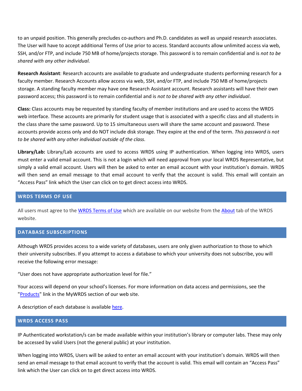to an unpaid position. This generally precludes co-authors and Ph.D. candidates as well as unpaid research associates. The User will have to accept additional Terms of Use prior to access. Standard accounts allow unlimited access via web, SSH, and/or FTP, and include 750 MB of home/projects storage. This password is to remain confidential and is *not to be shared with any other individual.*

**Research Assistant**: Research accounts are available to graduate and undergraduate students performing research for a faculty member. Research Accounts allow access via web, SSH, and/or FTP, and include 750 MB of home/projects storage. A standing faculty member may have one Research Assistant account. Research assistants will have their own password access; this password is to remain confidential and is *not to be shared with any other individual*.

**Class:** Class accounts may be requested by standing faculty of member institutions and are used to access the WRDS web interface. These accounts are primarily for student usage that is associated with a specific class and all students in the class share the same password. Up to 15 simultaneous users will share the same account and password. These accounts provide access only and do NOT include disk storage. They expire at the end of the term. *This password is not to be shared with any other individual outside of the class.*

**Library/Lab:** Library/Lab accounts are used to access WRDS using IP authentication. When logging into WRDS, users must enter a valid email account. This is not a login which will need approval from your local WRDS Representative, but simply a valid email account. Users will then be asked to enter an email account with your institution's domain. WRDS will then send an email message to that email account to verify that the account is valid. This email will contain an "Access Pass" link which the User can click on to get direct access into WRDS.

#### <span id="page-5-0"></span>**WRDS TERMS OF USE**

All users must agree to the [WRDS Terms of Use](https://wrds-www.wharton.upenn.edu/pages/support/getting-started/wrds-terms-use/) which are available on our website from the [About](http://wrds-web.wharton.upenn.edu/wrds/about/) tab of the WRDS website.

#### <span id="page-5-1"></span>**DATABASE SUBSCRIPTIONS**

Although WRDS provides access to a wide variety of databases, users are only given authorization to those to which their university subscribes. If you attempt to access a database to which your university does not subscribe, you will receive the following error message:

"User does not have appropriate authorization level for file."

Your access will depend on your school's licenses. For more information on data access and permissions, see the ["Products"](http://wrds-web.wharton.upenn.edu/wrds/mywrds/subscriptions.cfm) link in the MyWRDS section of our web site.

A description of each database is available [here.](http://www.whartonwrds.com/archive-pages/our-datasets/)

#### <span id="page-5-2"></span>**WRDS ACCESS PASS**

IP Authenticated workstation/s can be made available within your institution's library or computer labs. These may only be accessed by valid Users (not the general public) at your institution.

When logging into WRDS, Users will be asked to enter an email account with your institution's domain. WRDS will then send an email message to that email account to verify that the account is valid. This email will contain an "Access Pass" link which the User can click on to get direct access into WRDS.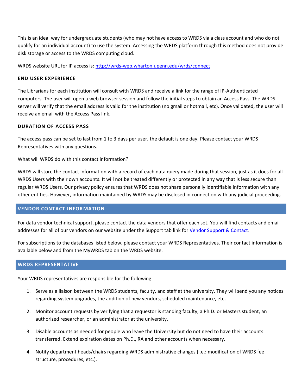This is an ideal way for undergraduate students (who may not have access to WRDS via a class account and who do not qualify for an individual account) to use the system. Accessing the WRDS platform through this method does not provide disk storage or access to the WRDS computing cloud.

WRDS website URL for IP access is:<http://wrds-web.wharton.upenn.edu/wrds/connect>

#### <span id="page-6-0"></span>**END USER EXPERIENCE**

The Librarians for each institution will consult with WRDS and receive a link for the range of IP-Authenticated computers. The user will open a web browser session and follow the initial steps to obtain an Access Pass. The WRDS server will verify that the email address is valid for the institution (no gmail or hotmail, etc). Once validated, the user will receive an email with the Access Pass link.

#### <span id="page-6-1"></span>**DURATION OF ACCESS PASS**

The access pass can be set to last from 1 to 3 days per user, the default is one day. Please contact your WRDS Representatives with any questions.

What will WRDS do with this contact information?

WRDS will store the contact information with a record of each data query made during that session, just as it does for all WRDS Users with their own accounts. It will not be treated differently or protected in any way that is less secure than regular WRDS Users. Our privacy policy ensures that WRDS does not share personally identifiable information with any other entities. However, information maintained by WRDS may be disclosed in connection with any judicial proceeding.

#### <span id="page-6-2"></span>**VENDOR CONTACT INFORMATION**

For data vendor technical support, please contact the data vendors that offer each set. You will find contacts and email addresses for all of our vendors on our website under the Support tab link for [Vendor Support & Contact.](http://wrds-web.wharton.upenn.edu/wrds/support/Additional%20Support/Vendor%20Support%20Contacts.cfm)

For subscriptions to the databases listed below, please contact your WRDS Representatives. Their contact information is available below and from the MyWRDS tab on the WRDS website.

# <span id="page-6-3"></span>**WRDS REPRESENTATIVE**

Your WRDS representatives are responsible for the following:

- 1. Serve as a liaison between the WRDS students, faculty, and staff at the university. They will send you any notices regarding system upgrades, the addition of new vendors, scheduled maintenance, etc.
- 2. Monitor account requests by verifying that a requestor is standing faculty, a Ph.D. or Masters student, an authorized researcher, or an administrator at the university.
- 3. Disable accounts as needed for people who leave the University but do not need to have their accounts transferred. Extend expiration dates on Ph.D., RA and other accounts when necessary.
- 4. Notify department heads/chairs regarding WRDS administrative changes (i.e.: modification of WRDS fee structure, procedures, etc.).